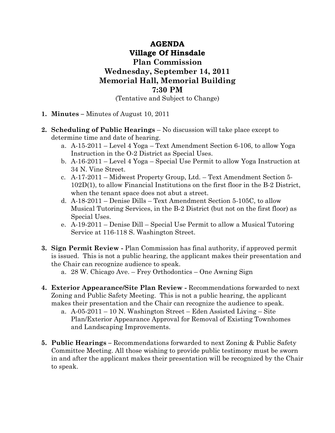## AGENDA Village Of Hinsdale Plan Commission Wednesday, September 14, 2011 Memorial Hall, Memorial Building 7:30 PM

(Tentative and Subject to Change)

- 1. Minutes Minutes of August 10, 2011
- 2. Scheduling of Public Hearings No discussion will take place except to determine time and date of hearing.
	- a. A-15-2011 Level 4 Yoga Text Amendment Section 6-106, to allow Yoga Instruction in the O-2 District as Special Uses.
	- b. A-16-2011 Level 4 Yoga Special Use Permit to allow Yoga Instruction at 34 N. Vine Street.
	- c. A-17-2011 Midwest Property Group, Ltd. Text Amendment Section 5- 102D(1), to allow Financial Institutions on the first floor in the B-2 District, when the tenant space does not abut a street.
	- d. A-18-2011 Denise Dills Text Amendment Section 5-105C, to allow Musical Tutoring Services, in the B-2 District (but not on the first floor) as Special Uses.
	- e. A-19-2011 Denise Dill Special Use Permit to allow a Musical Tutoring Service at 116-118 S. Washington Street.
- 3. Sign Permit Review Plan Commission has final authority, if approved permit is issued. This is not a public hearing, the applicant makes their presentation and the Chair can recognize audience to speak.
	- a. 28 W. Chicago Ave. Frey Orthodontics One Awning Sign
- 4. Exterior Appearance/Site Plan Review Recommendations forwarded to next Zoning and Public Safety Meeting. This is not a public hearing, the applicant makes their presentation and the Chair can recognize the audience to speak.
	- a. A-05-2011 10 N. Washington Street Eden Assisted Living Site Plan/Exterior Appearance Approval for Removal of Existing Townhomes and Landscaping Improvements.
- 5. Public Hearings Recommendations forwarded to next Zoning & Public Safety Committee Meeting. All those wishing to provide public testimony must be sworn in and after the applicant makes their presentation will be recognized by the Chair to speak.